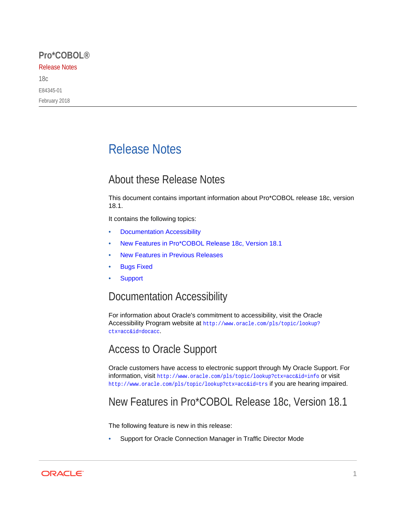#### **Pro\*COBOL®**

#### Release Notes

18c E84345-01 February 2018

# Release Notes

## About these Release Notes

This document contains important information about Pro\*COBOL release 18c, version 18.1.

It contains the following topics:

- Documentation Accessibility
- New Features in Pro\*COBOL Release 18c, Version 18.1
- [New Features in Previous Releases](#page-1-0)
- **[Bugs Fixed](#page-1-0)**
- **[Support](#page-3-0)**

### Documentation Accessibility

For information about Oracle's commitment to accessibility, visit the Oracle Accessibility Program website at [http://www.oracle.com/pls/topic/lookup?](http://www.oracle.com/pls/topic/lookup?ctx=acc&id=docacc) [ctx=acc&id=docacc](http://www.oracle.com/pls/topic/lookup?ctx=acc&id=docacc).

## Access to Oracle Support

Oracle customers have access to electronic support through My Oracle Support. For information, visit <http://www.oracle.com/pls/topic/lookup?ctx=acc&id=info> or visit <http://www.oracle.com/pls/topic/lookup?ctx=acc&id=trs> if you are hearing impaired.

## New Features in Pro\*COBOL Release 18c, Version 18.1

The following feature is new in this release:

• Support for Oracle Connection Manager in Traffic Director Mode

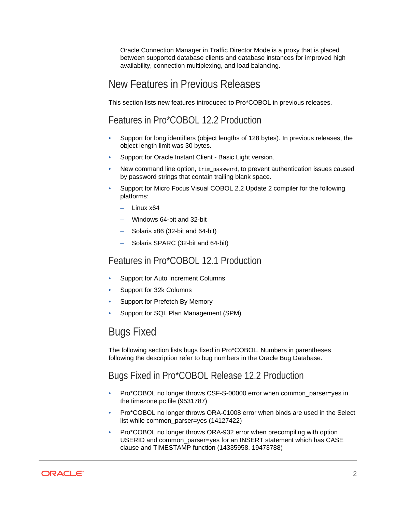<span id="page-1-0"></span>Oracle Connection Manager in Traffic Director Mode is a proxy that is placed between supported database clients and database instances for improved high availability, connection multiplexing, and load balancing.

### New Features in Previous Releases

This section lists new features introduced to Pro\*COBOL in previous releases.

### Features in Pro\*COBOL 12.2 Production

- Support for long identifiers (object lengths of 128 bytes). In previous releases, the object length limit was 30 bytes.
- Support for Oracle Instant Client Basic Light version.
- New command line option, trim\_password, to prevent authentication issues caused by password strings that contain trailing blank space.
- Support for Micro Focus Visual COBOL 2.2 Update 2 compiler for the following platforms:
	- Linux x64
	- Windows 64-bit and 32-bit
	- Solaris x86 (32-bit and 64-bit)
	- Solaris SPARC (32-bit and 64-bit)

#### Features in Pro\*COBOL 12.1 Production

- Support for Auto Increment Columns
- Support for 32k Columns
- Support for Prefetch By Memory
- Support for SQL Plan Management (SPM)

## Bugs Fixed

The following section lists bugs fixed in Pro\*COBOL. Numbers in parentheses following the description refer to bug numbers in the Oracle Bug Database.

#### Bugs Fixed in Pro\*COBOL Release 12.2 Production

- Pro\*COBOL no longer throws CSF-S-00000 error when common\_parser=yes in the timezone.pc file (9531787)
- Pro\*COBOL no longer throws ORA-01008 error when binds are used in the Select list while common parser=yes (14127422)
- Pro\*COBOL no longer throws ORA-932 error when precompiling with option USERID and common\_parser=yes for an INSERT statement which has CASE clause and TIMESTAMP function (14335958, 19473788)

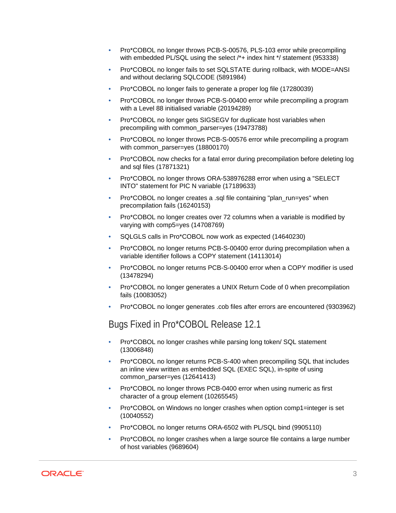- Pro\*COBOL no longer throws PCB-S-00576, PLS-103 error while precompiling with embedded PL/SOL using the select /\*+ index hint \*/ statement (953338)
- Pro\*COBOL no longer fails to set SQLSTATE during rollback, with MODE=ANSI and without declaring SQLCODE (5891984)
- Pro\*COBOL no longer fails to generate a proper log file (17280039)
- Pro\*COBOL no longer throws PCB-S-00400 error while precompiling a program with a Level 88 initialised variable (20194289)
- Pro\*COBOL no longer gets SIGSEGV for duplicate host variables when precompiling with common\_parser=yes (19473788)
- Pro\*COBOL no longer throws PCB-S-00576 error while precompiling a program with common parser=yes (18800170)
- Pro\*COBOL now checks for a fatal error during precompilation before deleting log and sql files (17871321)
- Pro\*COBOL no longer throws ORA-538976288 error when using a "SELECT INTO" statement for PIC N variable (17189633)
- Pro\*COBOL no longer creates a .sql file containing "plan\_run=yes" when precompilation fails (16240153)
- Pro\*COBOL no longer creates over 72 columns when a variable is modified by varying with comp5=yes (14708769)
- SQLGLS calls in Pro\*COBOL now work as expected (14640230)
- Pro\*COBOL no longer returns PCB-S-00400 error during precompilation when a variable identifier follows a COPY statement (14113014)
- Pro\*COBOL no longer returns PCB-S-00400 error when a COPY modifier is used (13478294)
- Pro\*COBOL no longer generates a UNIX Return Code of 0 when precompilation fails (10083052)
- Pro\*COBOL no longer generates .cob files after errors are encountered (9303962)

#### Bugs Fixed in Pro\*COBOL Release 12.1

- Pro\*COBOL no longer crashes while parsing long token/ SQL statement (13006848)
- Pro\*COBOL no longer returns PCB-S-400 when precompiling SQL that includes an inline view written as embedded SQL (EXEC SQL), in-spite of using common\_parser=yes (12641413)
- Pro\*COBOL no longer throws PCB-0400 error when using numeric as first character of a group element (10265545)
- Pro\*COBOL on Windows no longer crashes when option comp1=integer is set (10040552)
- Pro\*COBOL no longer returns ORA-6502 with PL/SQL bind (9905110)
- Pro\*COBOL no longer crashes when a large source file contains a large number of host variables (9689604)

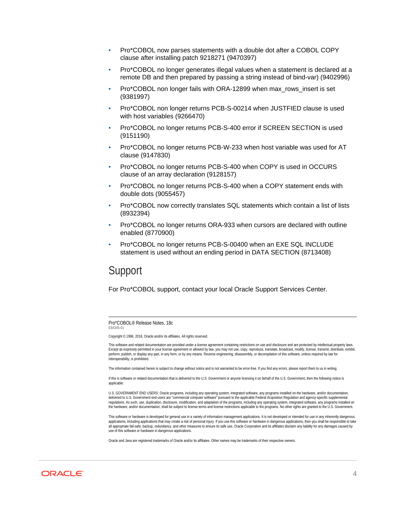- <span id="page-3-0"></span>• Pro\*COBOL now parses statements with a double dot after a COBOL COPY clause after installing patch 9218271 (9470397)
- Pro\*COBOL no longer generates illegal values when a statement is declared at a remote DB and then prepared by passing a string instead of bind-var) (9402996)
- Pro\*COBOL non longer fails with ORA-12899 when max\_rows\_insert is set (9381997)
- Pro\*COBOL non longer returns PCB-S-00214 when JUSTFIED clause is used with host variables (9266470)
- Pro\*COBOL no longer returns PCB-S-400 error if SCREEN SECTION is used (9151190)
- Pro\*COBOL no longer returns PCB-W-233 when host variable was used for AT clause (9147830)
- Pro\*COBOL no longer returns PCB-S-400 when COPY is used in OCCURS clause of an array declaration (9128157)
- Pro\*COBOL no longer returns PCB-S-400 when a COPY statement ends with double dots (9055457)
- Pro\*COBOL now correctly translates SQL statements which contain a list of lists (8932394)
- Pro\*COBOL no longer returns ORA-933 when cursors are declared with outline enabled (8770900)
- Pro\*COBOL no longer returns PCB-S-00400 when an EXE SQL INCLUDE statement is used without an ending period in DATA SECTION (8713408)

#### Support

For Pro\*COBOL support, contact your local Oracle Support Services Center.

Pro\*COBOL® Release Notes, 18c E84345-01

Copyright © 1996, 2018, Oracle and/or its affiliates. All rights reserved.

This software and related documentation are provided under a license agreement containing restrictions on use and disclosure and are protected by intellectual property laws. Except as expressly permitted in your license agreement or allowed by law, you may not use, copy, reproduce, translate, broadcast, modify, license, transmit, distribute, exhibit,<br>perform, publish, or display any part, in a interoperability, is prohibited.

The information contained herein is subject to change without notice and is not warranted to be error-free. If you find any errors, please report them to us in writing.

If this is software or related documentation that is delivered to the U.S. Government or anyone licensing it on behalf of the U.S. Government, then the following notice is applicable:

U.S. GOVERNMENT END USERS: Oracle programs, including any operating system, integrated software, any programs installed on the hardware, and/or documentation, delivered to U.S. Government end users are "commercial computer software" pursuant to the applicable Federal Acquisition Regulation and agency-specific supplemental regulations. As such, use, duplication, disclosure, modification, and adaptation of the programs, including any operating system, integrated software, any programs installed on the hardware, and/or documentation, shall be subject to license terms and license restrictions applicable to the programs. No other rights are granted to the U.S. Government.

This software or hardware is developed for general use in a variety of information management applications. It is not developed or intended for use in any inherently dangerous applications, including applications that may create a risk of personal injury. If you use this software or hardware in dangerous applications, then you shall be responsible to take all appropriate fail-safe, backup, redundancy, and other measures to ensure its safe use. Oracle Corporation and its affiliates disclaim any liability for any damages caused by use of this software or hardware in dangerous applications.

Oracle and Java are registered trademarks of Oracle and/or its affiliates. Other names may be trademarks of their respective owners.